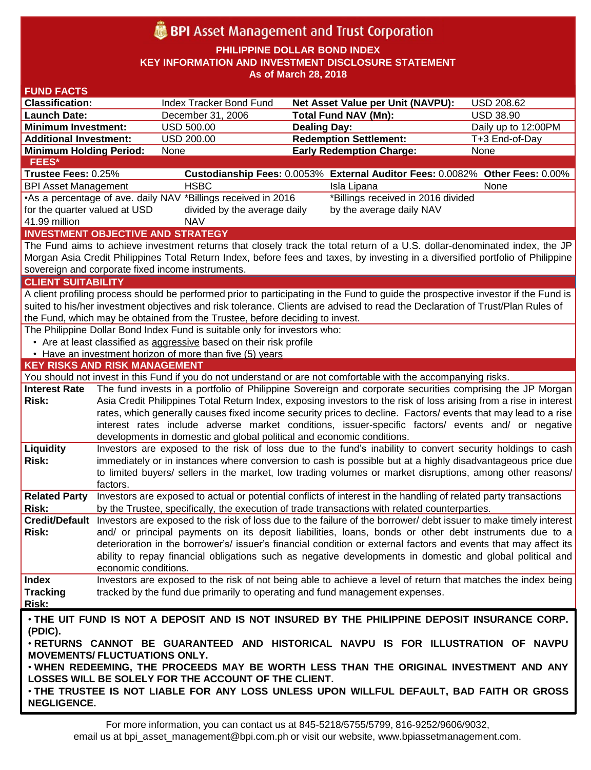# **BPI** Asset Management and Trust Corporation

**PHILIPPINE DOLLAR BOND INDEX**

**KEY INFORMATION AND INVESTMENT DISCLOSURE STATEMENT**

**As of March 28, 2018**

| <b>FUND FACTS</b>                                                                                                                  |                                                                                                                                                                                                                                 |                                                                        |                                                                                                                                 |                     |  |
|------------------------------------------------------------------------------------------------------------------------------------|---------------------------------------------------------------------------------------------------------------------------------------------------------------------------------------------------------------------------------|------------------------------------------------------------------------|---------------------------------------------------------------------------------------------------------------------------------|---------------------|--|
| <b>Classification:</b>                                                                                                             |                                                                                                                                                                                                                                 | Index Tracker Bond Fund                                                | <b>Net Asset Value per Unit (NAVPU):</b>                                                                                        | USD 208.62          |  |
| <b>Launch Date:</b>                                                                                                                |                                                                                                                                                                                                                                 | December 31, 2006                                                      | <b>Total Fund NAV (Mn):</b>                                                                                                     | <b>USD 38.90</b>    |  |
| <b>Minimum Investment:</b>                                                                                                         |                                                                                                                                                                                                                                 | <b>USD 500.00</b>                                                      | <b>Dealing Day:</b>                                                                                                             | Daily up to 12:00PM |  |
| <b>Additional Investment:</b>                                                                                                      |                                                                                                                                                                                                                                 | USD 200.00                                                             | <b>Redemption Settlement:</b>                                                                                                   | T+3 End-of-Day      |  |
| <b>Minimum Holding Period:</b>                                                                                                     |                                                                                                                                                                                                                                 | None                                                                   | <b>Early Redemption Charge:</b>                                                                                                 | None                |  |
| <b>FEES*</b>                                                                                                                       |                                                                                                                                                                                                                                 |                                                                        |                                                                                                                                 |                     |  |
| Trustee Fees: 0.25%                                                                                                                |                                                                                                                                                                                                                                 |                                                                        | Custodianship Fees: 0.0053% External Auditor Fees: 0.0082% Other Fees: 0.00%                                                    |                     |  |
| <b>BPI Asset Management</b>                                                                                                        |                                                                                                                                                                                                                                 | <b>HSBC</b>                                                            | Isla Lipana                                                                                                                     | None                |  |
|                                                                                                                                    | *Billings received in 2016 divided<br>•As a percentage of ave. daily NAV *Billings received in 2016                                                                                                                             |                                                                        |                                                                                                                                 |                     |  |
| for the quarter valued at USD                                                                                                      |                                                                                                                                                                                                                                 | divided by the average daily                                           | by the average daily NAV                                                                                                        |                     |  |
| 41.99 million<br><b>NAV</b>                                                                                                        |                                                                                                                                                                                                                                 |                                                                        |                                                                                                                                 |                     |  |
| <b>INVESTMENT OBJECTIVE AND STRATEGY</b>                                                                                           |                                                                                                                                                                                                                                 |                                                                        |                                                                                                                                 |                     |  |
| The Fund aims to achieve investment returns that closely track the total return of a U.S. dollar-denominated index, the JP         |                                                                                                                                                                                                                                 |                                                                        |                                                                                                                                 |                     |  |
| Morgan Asia Credit Philippines Total Return Index, before fees and taxes, by investing in a diversified portfolio of Philippine    |                                                                                                                                                                                                                                 |                                                                        |                                                                                                                                 |                     |  |
| sovereign and corporate fixed income instruments.                                                                                  |                                                                                                                                                                                                                                 |                                                                        |                                                                                                                                 |                     |  |
| <b>CLIENT SUITABILITY</b>                                                                                                          |                                                                                                                                                                                                                                 |                                                                        |                                                                                                                                 |                     |  |
| A client profiling process should be performed prior to participating in the Fund to guide the prospective investor if the Fund is |                                                                                                                                                                                                                                 |                                                                        |                                                                                                                                 |                     |  |
| suited to his/her investment objectives and risk tolerance. Clients are advised to read the Declaration of Trust/Plan Rules of     |                                                                                                                                                                                                                                 |                                                                        |                                                                                                                                 |                     |  |
| the Fund, which may be obtained from the Trustee, before deciding to invest.                                                       |                                                                                                                                                                                                                                 |                                                                        |                                                                                                                                 |                     |  |
| The Philippine Dollar Bond Index Fund is suitable only for investors who:                                                          |                                                                                                                                                                                                                                 |                                                                        |                                                                                                                                 |                     |  |
| • Are at least classified as aggressive based on their risk profile                                                                |                                                                                                                                                                                                                                 |                                                                        |                                                                                                                                 |                     |  |
| • Have an investment horizon of more than five (5) years<br><b>KEY RISKS AND RISK MANAGEMENT</b>                                   |                                                                                                                                                                                                                                 |                                                                        |                                                                                                                                 |                     |  |
|                                                                                                                                    |                                                                                                                                                                                                                                 |                                                                        | You should not invest in this Fund if you do not understand or are not comfortable with the accompanying risks.                 |                     |  |
| <b>Interest Rate</b>                                                                                                               |                                                                                                                                                                                                                                 |                                                                        |                                                                                                                                 |                     |  |
| Risk:                                                                                                                              | The fund invests in a portfolio of Philippine Sovereign and corporate securities comprising the JP Morgan<br>Asia Credit Philippines Total Return Index, exposing investors to the risk of loss arising from a rise in interest |                                                                        |                                                                                                                                 |                     |  |
|                                                                                                                                    |                                                                                                                                                                                                                                 |                                                                        | rates, which generally causes fixed income security prices to decline. Factors/ events that may lead to a rise                  |                     |  |
|                                                                                                                                    |                                                                                                                                                                                                                                 |                                                                        | interest rates include adverse market conditions, issuer-specific factors/ events and/ or negative                              |                     |  |
|                                                                                                                                    |                                                                                                                                                                                                                                 | developments in domestic and global political and economic conditions. |                                                                                                                                 |                     |  |
| Liquidity                                                                                                                          |                                                                                                                                                                                                                                 |                                                                        | Investors are exposed to the risk of loss due to the fund's inability to convert security holdings to cash                      |                     |  |
| Risk:                                                                                                                              |                                                                                                                                                                                                                                 |                                                                        | immediately or in instances where conversion to cash is possible but at a highly disadvantageous price due                      |                     |  |
|                                                                                                                                    |                                                                                                                                                                                                                                 |                                                                        | to limited buyers/ sellers in the market, low trading volumes or market disruptions, among other reasons/                       |                     |  |
|                                                                                                                                    | factors.                                                                                                                                                                                                                        |                                                                        |                                                                                                                                 |                     |  |
| <b>Related Party</b>                                                                                                               |                                                                                                                                                                                                                                 |                                                                        | Investors are exposed to actual or potential conflicts of interest in the handling of related party transactions                |                     |  |
| Risk:                                                                                                                              |                                                                                                                                                                                                                                 |                                                                        | by the Trustee, specifically, the execution of trade transactions with related counterparties.                                  |                     |  |
|                                                                                                                                    |                                                                                                                                                                                                                                 |                                                                        | Credit/Default Investors are exposed to the risk of loss due to the failure of the borrower/debt issuer to make timely interest |                     |  |
| Risk:                                                                                                                              |                                                                                                                                                                                                                                 |                                                                        | and/ or principal payments on its deposit liabilities, loans, bonds or other debt instruments due to a                          |                     |  |
|                                                                                                                                    |                                                                                                                                                                                                                                 |                                                                        | deterioration in the borrower's/ issuer's financial condition or external factors and events that may affect its                |                     |  |
|                                                                                                                                    |                                                                                                                                                                                                                                 |                                                                        | ability to repay financial obligations such as negative developments in domestic and global political and                       |                     |  |
|                                                                                                                                    | economic conditions.                                                                                                                                                                                                            |                                                                        |                                                                                                                                 |                     |  |
| <b>Index</b>                                                                                                                       |                                                                                                                                                                                                                                 |                                                                        | Investors are exposed to the risk of not being able to achieve a level of return that matches the index being                   |                     |  |
| <b>Tracking</b>                                                                                                                    |                                                                                                                                                                                                                                 |                                                                        | tracked by the fund due primarily to operating and fund management expenses.                                                    |                     |  |
| <b>Risk:</b>                                                                                                                       |                                                                                                                                                                                                                                 |                                                                        |                                                                                                                                 |                     |  |
| . THE UIT FUND IS NOT A DEPOSIT AND IS NOT INSURED BY THE PHILIPPINE DEPOSIT INSURANCE CORP.                                       |                                                                                                                                                                                                                                 |                                                                        |                                                                                                                                 |                     |  |
| (PDIC).                                                                                                                            |                                                                                                                                                                                                                                 |                                                                        |                                                                                                                                 |                     |  |
| . RETURNS CANNOT BE GUARANTEED AND HISTORICAL NAVPU IS FOR ILLUSTRATION OF NAVPU                                                   |                                                                                                                                                                                                                                 |                                                                        |                                                                                                                                 |                     |  |
| <b>MOVEMENTS/ FLUCTUATIONS ONLY.</b>                                                                                               |                                                                                                                                                                                                                                 |                                                                        |                                                                                                                                 |                     |  |
| . WHEN REDEEMING, THE PROCEEDS MAY BE WORTH LESS THAN THE ORIGINAL INVESTMENT AND ANY                                              |                                                                                                                                                                                                                                 |                                                                        |                                                                                                                                 |                     |  |
| LOSSES WILL BE SOLELY FOR THE ACCOUNT OF THE CLIENT.                                                                               |                                                                                                                                                                                                                                 |                                                                        |                                                                                                                                 |                     |  |
| . THE TRUSTEE IS NOT LIABLE FOR ANY LOSS UNLESS UPON WILLFUL DEFAULT, BAD FAITH OR GROSS                                           |                                                                                                                                                                                                                                 |                                                                        |                                                                                                                                 |                     |  |
| <b>NEGLIGENCE.</b>                                                                                                                 |                                                                                                                                                                                                                                 |                                                                        |                                                                                                                                 |                     |  |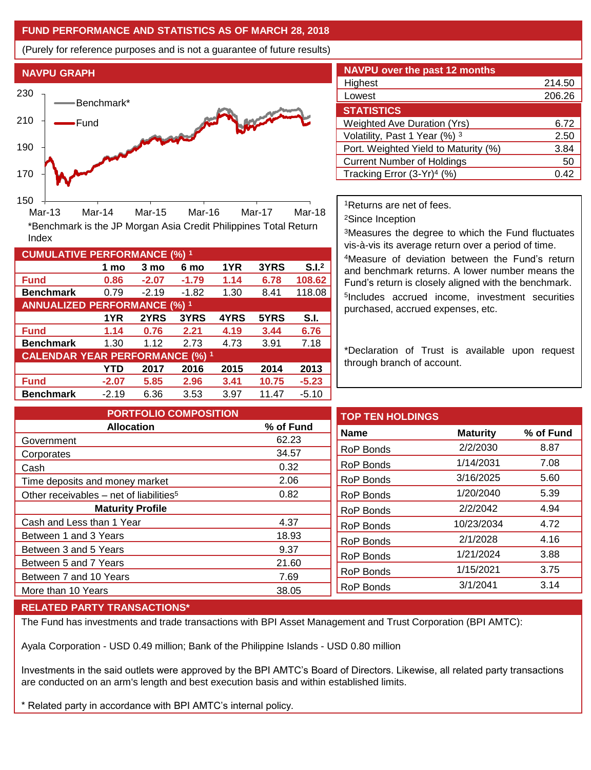## **FUND PERFORMANCE AND STATISTICS AS OF MARCH 28, 2018**

(Purely for reference purposes and is not a guarantee of future results)



Mar-13 Mar-14 Mar-15 Mar-16 Mar-17 Mar-18

\*Benchmark is the JP Morgan Asia Credit Philippines Total Return

**Fund 0.86 -2.07 -1.79 1.14 6.78 108.62 Benchmark** 0.79 -2.19 -1.82 1.30 8.41 118.08

**Fund 1.14 0.76 2.21 4.19 3.44 6.76 Benchmark** 1.30 1.12 2.73 4.73 3.91 7.18

**Fund -2.07 5.85 2.96 3.41 10.75 -5.23 Benchmark** -2.19 6.36 3.53 3.97 11.47 -5.10

**1 mo 3 mo 6 mo 1YR 3YRS S.I.<sup>2</sup>**

**1YR 2YRS 3YRS 4YRS 5YRS S.I.**

**YTD 2017 2016 2015 2014 2013**

| <b>NAVPU</b> over the past 12 months   |        |  |  |  |  |
|----------------------------------------|--------|--|--|--|--|
| Highest                                | 214.50 |  |  |  |  |
| Lowest                                 | 206.26 |  |  |  |  |
| <b>STATISTICS</b>                      |        |  |  |  |  |
| <b>Weighted Ave Duration (Yrs)</b>     | 6.72   |  |  |  |  |
| Volatility, Past 1 Year (%) 3          | 2.50   |  |  |  |  |
| Port. Weighted Yield to Maturity (%)   | 3.84   |  |  |  |  |
| <b>Current Number of Holdings</b>      | 50     |  |  |  |  |
| Tracking Error (3-Yr) <sup>4</sup> (%) | O 42   |  |  |  |  |

<sup>1</sup>Returns are net of fees.

<sup>2</sup>Since Inception

<sup>3</sup>Measures the degree to which the Fund fluctuates vis-à-vis its average return over a period of time.

<sup>4</sup>Measure of deviation between the Fund's return and benchmark returns. A lower number means the Fund's return is closely aligned with the benchmark. 5 Includes accrued income, investment securities purchased, accrued expenses, etc.

\*Declaration of Trust is available upon request through branch of account.

**TOP TEN HOLDINGS Name Maturity % of Fund** RoP Bonds 2/2/2030 8.87 RoP Bonds 1/14/2031 7.08 RoP Bonds 3/16/2025 5.60 RoP Bonds 1/20/2040 5.39 RoP Bonds 2/2/2042 4.94 RoP Bonds 10/23/2034 4.72 RoP Bonds 2/1/2028 4.16 RoP Bonds 1/21/2024 3.88 RoP Bonds 1/15/2021 3.75 RoP Bonds 3/1/2041 3.14 **PORTFOLIO COMPOSITION Allocation % of Fund** Government 62.23 Corporates 34.57 Cash 0.32 Time deposits and money market 2.06 Other receivables – net of liabilities<sup>5</sup>  $0.82$ **Maturity Profile** Cash and Less than 1 Year 4.37 Between 1 and 3 Years 18.93 Between 3 and 5 Years 6 and 1 and 1 and 1 and 1 and 1 and 1 and 1 and 1 and 1 and 1 and 1 and 1 and 1 and 1 and 1 and 1 and 1 and 1 and 1 and 1 and 1 and 1 and 1 and 1 and 1 and 1 and 1 and 1 and 1 and 1 and 1 and 1 and 1 Between 5 and 7 Years 21.60 Between 7 and 10 Years 7.69 More than 10 Years 38.05

### **RELATED PARTY TRANSACTIONS\***

**CUMULATIVE PERFORMANCE (%) <sup>1</sup>**

Index

**ANNUALIZED PERFORMANCE (%) <sup>1</sup>**

**CALENDAR YEAR PERFORMANCE (%) <sup>1</sup>**

The Fund has investments and trade transactions with BPI Asset Management and Trust Corporation (BPI AMTC):

Ayala Corporation - USD 0.49 million; Bank of the Philippine Islands - USD 0.80 million

Investments in the said outlets were approved by the BPI AMTC's Board of Directors. Likewise, all related party transactions are conducted on an arm's length and best execution basis and within established limits.

\* Related party in accordance with BPI AMTC's internal policy.